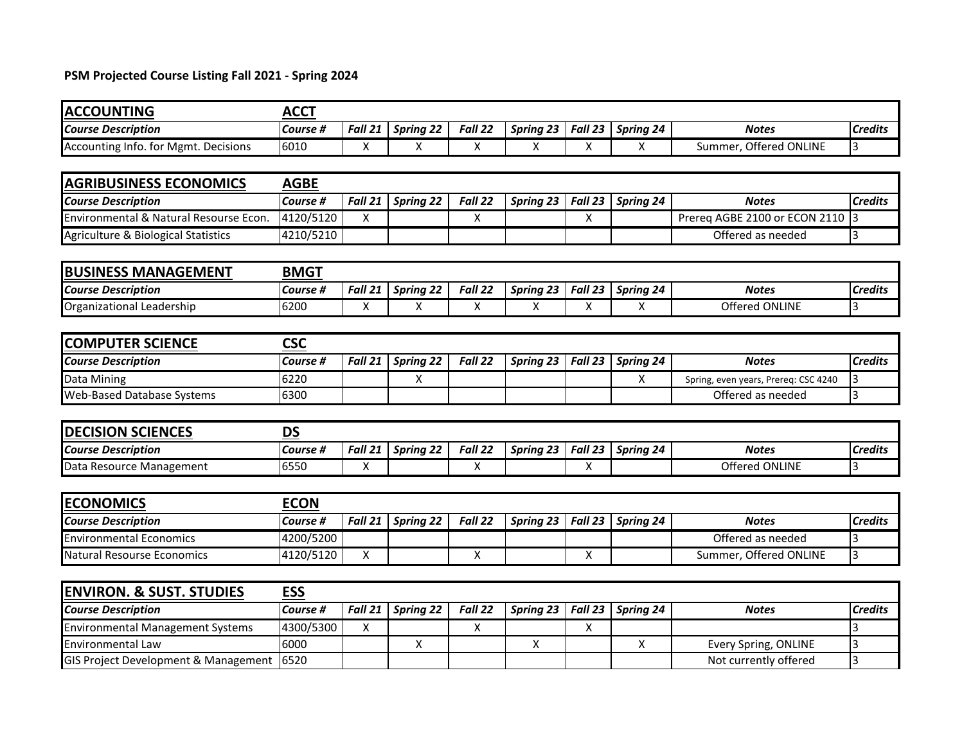## **PSM Projected Course Listing Fall 2021 - Spring 2024**

| <b>ACCOUNTING</b>                       | <b>ACCT</b> |                    |                  |         |                  |         |                  |                                      |                |
|-----------------------------------------|-------------|--------------------|------------------|---------|------------------|---------|------------------|--------------------------------------|----------------|
| <b>Course Description</b>               | Course #    | Fall 21            | <b>Spring 22</b> | Fall 22 | Spring 23        | Fall 23 | Spring 24        | <b>Notes</b>                         | <b>Credits</b> |
| Accounting Info. for Mgmt. Decisions    | 6010        | X                  | X                | X       | X                | X       | X                | Summer, Offered ONLINE               | 3              |
|                                         |             |                    |                  |         |                  |         |                  |                                      |                |
| <b>AGRIBUSINESS ECONOMICS</b>           | <b>AGBE</b> |                    |                  |         |                  |         |                  |                                      |                |
| <b>Course Description</b>               | Course #    | Fall 21            | <b>Spring 22</b> | Fall 22 | <b>Spring 23</b> | Fall 23 | Spring 24        | <b>Notes</b>                         | <b>Credits</b> |
| Environmental & Natural Resourse Econ.  | 4120/5120   | X                  |                  | X       |                  | X       |                  | Prereg AGBE 2100 or ECON 2110        | 3              |
| Agriculture & Biological Statistics     | 4210/5210   |                    |                  |         |                  |         |                  | Offered as needed                    | 3              |
|                                         |             |                    |                  |         |                  |         |                  |                                      |                |
| <b>BUSINESS MANAGEMENT</b>              | <b>BMGT</b> |                    |                  |         |                  |         |                  |                                      |                |
| <b>Course Description</b>               | Course #    | Fall 21            | <b>Spring 22</b> | Fall 22 | <b>Spring 23</b> | Fall 23 | Spring 24        | <b>Notes</b>                         | <b>Credits</b> |
| Organizational Leadership               | 6200        | $\pmb{\mathsf{X}}$ | X                | X       | X                | X       | X                | Offered ONLINE                       | 3              |
|                                         |             |                    |                  |         |                  |         |                  |                                      |                |
| <b>COMPUTER SCIENCE</b>                 | <b>CSC</b>  |                    |                  |         |                  |         |                  |                                      |                |
| <b>Course Description</b>               | Course #    | Fall 21            | <b>Spring 22</b> | Fall 22 | Spring 23        | Fall 23 | Spring 24        | <b>Notes</b>                         | <b>Credits</b> |
| Data Mining                             | 6220        |                    | Χ                |         |                  |         | X                | Spring, even years, Prereq: CSC 4240 | 3              |
| <b>Web-Based Database Systems</b>       | 6300        |                    |                  |         |                  |         |                  | Offered as needed                    | 3              |
|                                         |             |                    |                  |         |                  |         |                  |                                      |                |
| <b>DECISION SCIENCES</b>                | <b>DS</b>   |                    |                  |         |                  |         |                  |                                      |                |
| <b>Course Description</b>               | Course #    | Fall 21            | <b>Spring 22</b> | Fall 22 | <b>Spring 23</b> | Fall 23 | <b>Spring 24</b> | <b>Notes</b>                         | <b>Credits</b> |
| Data Resource Management                | 6550        | X                  |                  | X       |                  | X       |                  | Offered ONLINE                       | 3              |
|                                         |             |                    |                  |         |                  |         |                  |                                      |                |
| <b>ECONOMICS</b>                        | <b>ECON</b> |                    |                  |         |                  |         |                  |                                      |                |
| <b>Course Description</b>               | Course #    | Fall 21            | <b>Spring 22</b> | Fall 22 | <b>Spring 23</b> | Fall 23 | Spring 24        | <b>Notes</b>                         | <b>Credits</b> |
| <b>Environmental Economics</b>          | 4200/5200   |                    |                  |         |                  |         |                  | Offered as needed                    | 3              |
| Natural Resourse Economics              | 4120/5120   | X                  |                  | X       |                  | X       |                  | Summer, Offered ONLINE               | 3              |
|                                         |             |                    |                  |         |                  |         |                  |                                      |                |
| <b>ENVIRON. &amp; SUST. STUDIES</b>     | <b>ESS</b>  |                    |                  |         |                  |         |                  |                                      |                |
| <b>Course Description</b>               | Course #    | Fall 21            | <b>Spring 22</b> | Fall 22 | Spring 23        | Fall 23 | Spring 24        | <b>Notes</b>                         | <b>Credits</b> |
| <b>Environmental Management Systems</b> | 4300/5300   | X                  |                  | Χ       |                  | X       |                  |                                      | $\overline{3}$ |
| Environmental Law                       | 6000        |                    | Χ                |         | X                |         | X                | Every Spring, ONLINE                 | 3              |
| GIS Project Development & Management    | 6520        |                    |                  |         |                  |         |                  | Not currently offered                | $\overline{3}$ |